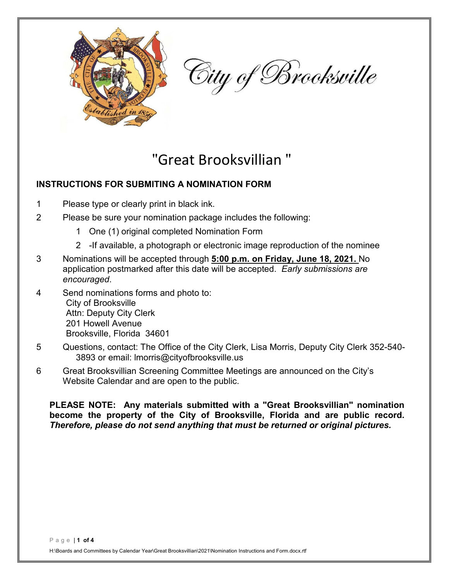

City of Brooksville

## "Great Brooksvillian "

## **INSTRUCTIONS FOR SUBMITING A NOMINATION FORM**

- 1 Please type or clearly print in black ink.
- 2 Please be sure your nomination package includes the following:
	- 1 One (1) original completed Nomination Form
	- 2 -If available, a photograph or electronic image reproduction of the nominee
- 3 Nominations will be accepted through **5:00 p.m. on Friday, June 18, 2021.** No application postmarked after this date will be accepted. *Early submissions are encouraged*.
- 4 Send nominations forms and photo to: City of Brooksville Attn: Deputy City Clerk 201 Howell Avenue Brooksville, Florida 34601
- 5 Questions, contact: The Office of the City Clerk, Lisa Morris, Deputy City Clerk 352-540- 3893 or email: lmorris@cityofbrooksville.us
- 6 Great Brooksvillian Screening Committee Meetings are announced on the City's Website Calendar and are open to the public.

**PLEASE NOTE: Any materials submitted with a "Great Brooksvillian" nomination become the property of the City of Brooksville, Florida and are public record.**  *Therefore, please do not send anything that must be returned or original pictures.*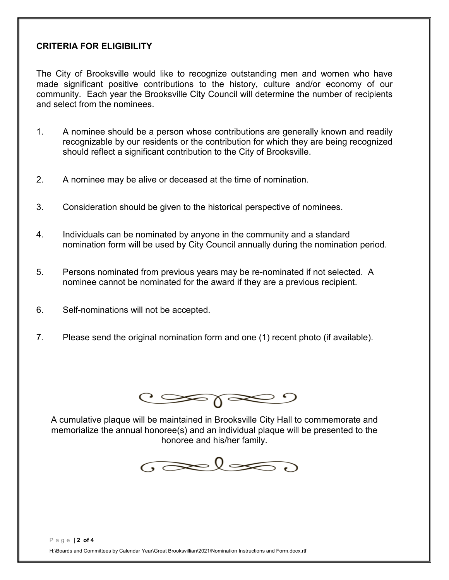## **CRITERIA FOR ELIGIBILITY**

The City of Brooksville would like to recognize outstanding men and women who have made significant positive contributions to the history, culture and/or economy of our community. Each year the Brooksville City Council will determine the number of recipients and select from the nominees.

- 1. A nominee should be a person whose contributions are generally known and readily recognizable by our residents or the contribution for which they are being recognized should reflect a significant contribution to the City of Brooksville.
- 2. A nominee may be alive or deceased at the time of nomination.
- 3. Consideration should be given to the historical perspective of nominees.
- 4. Individuals can be nominated by anyone in the community and a standard nomination form will be used by City Council annually during the nomination period.
- 5. Persons nominated from previous years may be re-nominated if not selected. A nominee cannot be nominated for the award if they are a previous recipient.
- 6. Self-nominations will not be accepted.
- 7. Please send the original nomination form and one (1) recent photo (if available).



A cumulative plaque will be maintained in Brooksville City Hall to commemorate and memorialize the annual honoree(s) and an individual plaque will be presented to the honoree and his/her family.

 $\sigma$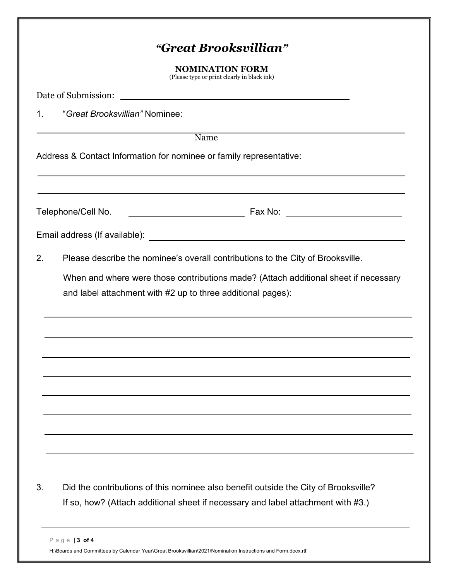|    |                                | <b>NOMINATION FORM</b><br>(Please type or print clearly in black ink)                                                                              |
|----|--------------------------------|----------------------------------------------------------------------------------------------------------------------------------------------------|
|    |                                |                                                                                                                                                    |
| 1. | "Great Brooksvillian" Nominee: |                                                                                                                                                    |
|    |                                | Name                                                                                                                                               |
|    |                                | Address & Contact Information for nominee or family representative:                                                                                |
|    |                                | ,我们也不会有什么。""我们的人,我们也不会有什么?""我们的人,我们也不会有什么?""我们的人,我们也不会有什么?""我们的人,我们也不会有什么?""我们的人                                                                   |
|    | Telephone/Cell No.             |                                                                                                                                                    |
|    |                                |                                                                                                                                                    |
|    |                                |                                                                                                                                                    |
| 2. |                                | Please describe the nominee's overall contributions to the City of Brooksville.                                                                    |
|    |                                | When and where were those contributions made? (Attach additional sheet if necessary<br>and label attachment with #2 up to three additional pages): |
|    |                                |                                                                                                                                                    |
|    |                                |                                                                                                                                                    |
|    |                                |                                                                                                                                                    |
|    |                                |                                                                                                                                                    |
|    |                                |                                                                                                                                                    |
|    |                                |                                                                                                                                                    |
|    |                                |                                                                                                                                                    |
|    |                                |                                                                                                                                                    |
| 3. |                                | Did the contributions of this nominee also benefit outside the City of Brooksville?                                                                |